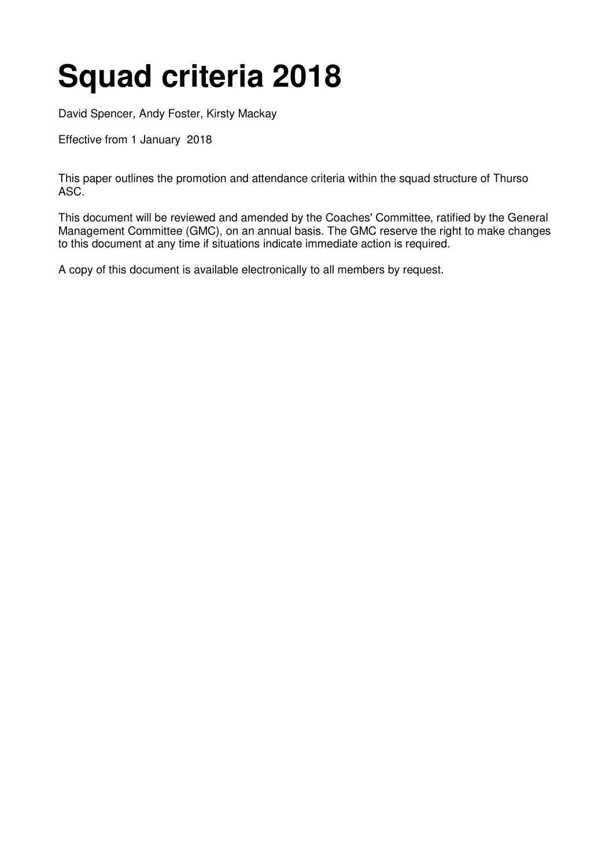# **Squad criteria 2018**

David Spencer, Andy Foster, Kirsty Mackay

Effective from 1 January 2018

This paper outlines the promotion and attendance criteria within the squad structure of Thurso ASC.

This document will be reviewed and amended by the Coaches' Committee, ratified by the General Management Committee (GMC), on an annual basis. The GMC reserve the right to make changes to this document at any time if situations indicate immediate action is required.

A copy of this document is available electronically to all members by request.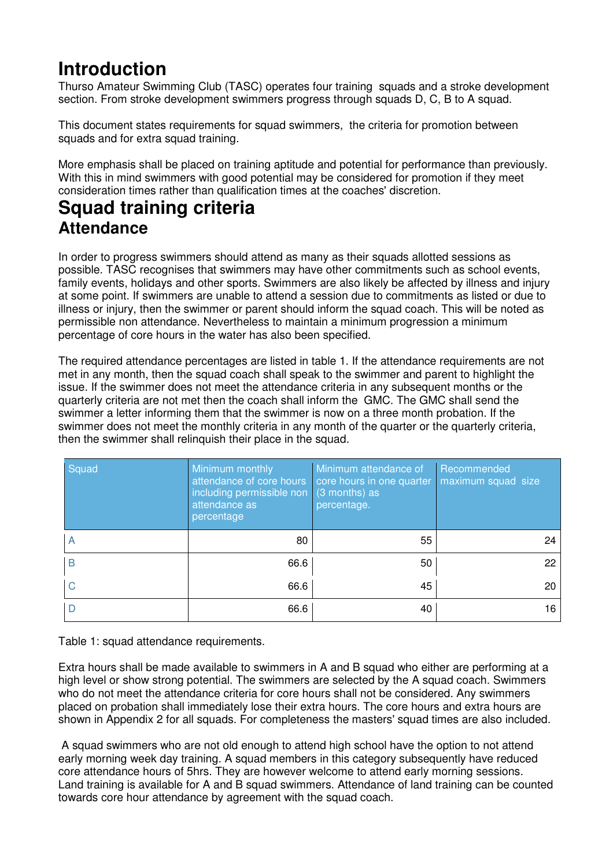## **Introduction**

Thurso Amateur Swimming Club (TASC) operates four training squads and a stroke development section. From stroke development swimmers progress through squads D, C, B to A squad.

This document states requirements for squad swimmers, the criteria for promotion between squads and for extra squad training.

More emphasis shall be placed on training aptitude and potential for performance than previously. With this in mind swimmers with good potential may be considered for promotion if they meet consideration times rather than qualification times at the coaches' discretion.

## **Squad training criteria Attendance**

In order to progress swimmers should attend as many as their squads allotted sessions as possible. TASC recognises that swimmers may have other commitments such as school events, family events, holidays and other sports. Swimmers are also likely be affected by illness and injury at some point. If swimmers are unable to attend a session due to commitments as listed or due to illness or injury, then the swimmer or parent should inform the squad coach. This will be noted as permissible non attendance. Nevertheless to maintain a minimum progression a minimum percentage of core hours in the water has also been specified.

The required attendance percentages are listed in table 1. If the attendance requirements are not met in any month, then the squad coach shall speak to the swimmer and parent to highlight the issue. If the swimmer does not meet the attendance criteria in any subsequent months or the quarterly criteria are not met then the coach shall inform the GMC. The GMC shall send the swimmer a letter informing them that the swimmer is now on a three month probation. If the swimmer does not meet the monthly criteria in any month of the quarter or the quarterly criteria, then the swimmer shall relinquish their place in the squad.

| Squad | Minimum monthly<br>attendance of core hours<br>including permissible non $\vert$ (3 months) as<br>attendance as<br>percentage | Minimum attendance of<br>core hours in one quarter<br>percentage. | Recommended<br>maximum squad size |
|-------|-------------------------------------------------------------------------------------------------------------------------------|-------------------------------------------------------------------|-----------------------------------|
| A     | 80                                                                                                                            | 55                                                                | 24                                |
| B     | 66.6                                                                                                                          | 50                                                                | 22                                |
| С     | 66.6                                                                                                                          | 45                                                                | 20                                |
|       | 66.6                                                                                                                          | 40                                                                | 16                                |

Table 1: squad attendance requirements.

Extra hours shall be made available to swimmers in A and B squad who either are performing at a high level or show strong potential. The swimmers are selected by the A squad coach. Swimmers who do not meet the attendance criteria for core hours shall not be considered. Any swimmers placed on probation shall immediately lose their extra hours. The core hours and extra hours are shown in Appendix 2 for all squads. For completeness the masters' squad times are also included.

 A squad swimmers who are not old enough to attend high school have the option to not attend early morning week day training. A squad members in this category subsequently have reduced core attendance hours of 5hrs. They are however welcome to attend early morning sessions. Land training is available for A and B squad swimmers. Attendance of land training can be counted towards core hour attendance by agreement with the squad coach.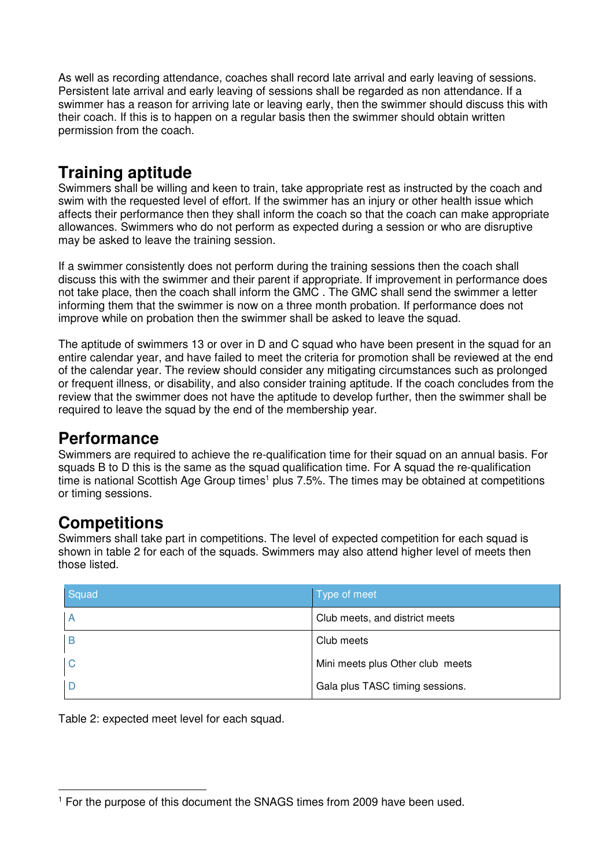As well as recording attendance, coaches shall record late arrival and early leaving of sessions. Persistent late arrival and early leaving of sessions shall be regarded as non attendance. If a swimmer has a reason for arriving late or leaving early, then the swimmer should discuss this with their coach. If this is to happen on a regular basis then the swimmer should obtain written permission from the coach.

## **Training aptitude**

Swimmers shall be willing and keen to train, take appropriate rest as instructed by the coach and swim with the requested level of effort. If the swimmer has an injury or other health issue which affects their performance then they shall inform the coach so that the coach can make appropriate allowances. Swimmers who do not perform as expected during a session or who are disruptive may be asked to leave the training session.

If a swimmer consistently does not perform during the training sessions then the coach shall discuss this with the swimmer and their parent if appropriate. If improvement in performance does not take place, then the coach shall inform the GMC . The GMC shall send the swimmer a letter informing them that the swimmer is now on a three month probation. If performance does not improve while on probation then the swimmer shall be asked to leave the squad.

The aptitude of swimmers 13 or over in D and C squad who have been present in the squad for an entire calendar year, and have failed to meet the criteria for promotion shall be reviewed at the end of the calendar year. The review should consider any mitigating circumstances such as prolonged or frequent illness, or disability, and also consider training aptitude. If the coach concludes from the review that the swimmer does not have the aptitude to develop further, then the swimmer shall be required to leave the squad by the end of the membership year.

### **Performance**

Swimmers are required to achieve the re-qualification time for their squad on an annual basis. For squads B to D this is the same as the squad qualification time. For A squad the re-qualification time is national Scottish Age Group times<sup>1</sup> plus 7.5%. The times may be obtained at competitions or timing sessions.

### **Competitions**

 $\overline{a}$ 

Swimmers shall take part in competitions. The level of expected competition for each squad is shown in table 2 for each of the squads. Swimmers may also attend higher level of meets then those listed.

| Squad | Type of meet                     |
|-------|----------------------------------|
|       | Club meets, and district meets   |
| В     | Club meets                       |
| C     | Mini meets plus Other club meets |
|       | Gala plus TASC timing sessions.  |

Table 2: expected meet level for each squad.

<sup>&</sup>lt;sup>1</sup> For the purpose of this document the SNAGS times from 2009 have been used.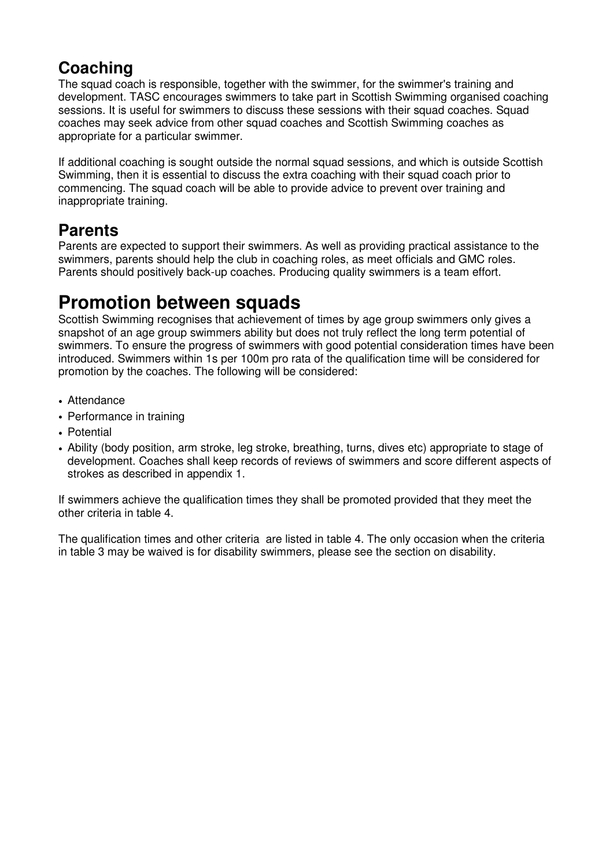## **Coaching**

The squad coach is responsible, together with the swimmer, for the swimmer's training and development. TASC encourages swimmers to take part in Scottish Swimming organised coaching sessions. It is useful for swimmers to discuss these sessions with their squad coaches. Squad coaches may seek advice from other squad coaches and Scottish Swimming coaches as appropriate for a particular swimmer.

If additional coaching is sought outside the normal squad sessions, and which is outside Scottish Swimming, then it is essential to discuss the extra coaching with their squad coach prior to commencing. The squad coach will be able to provide advice to prevent over training and inappropriate training.

## **Parents**

Parents are expected to support their swimmers. As well as providing practical assistance to the swimmers, parents should help the club in coaching roles, as meet officials and GMC roles. Parents should positively back-up coaches. Producing quality swimmers is a team effort.

## **Promotion between squads**

Scottish Swimming recognises that achievement of times by age group swimmers only gives a snapshot of an age group swimmers ability but does not truly reflect the long term potential of swimmers. To ensure the progress of swimmers with good potential consideration times have been introduced. Swimmers within 1s per 100m pro rata of the qualification time will be considered for promotion by the coaches. The following will be considered:

- Attendance
- Performance in training
- Potential
- Ability (body position, arm stroke, leg stroke, breathing, turns, dives etc) appropriate to stage of development. Coaches shall keep records of reviews of swimmers and score different aspects of strokes as described in appendix 1.

If swimmers achieve the qualification times they shall be promoted provided that they meet the other criteria in table 4.

The qualification times and other criteria are listed in table 4. The only occasion when the criteria in table 3 may be waived is for disability swimmers, please see the section on disability.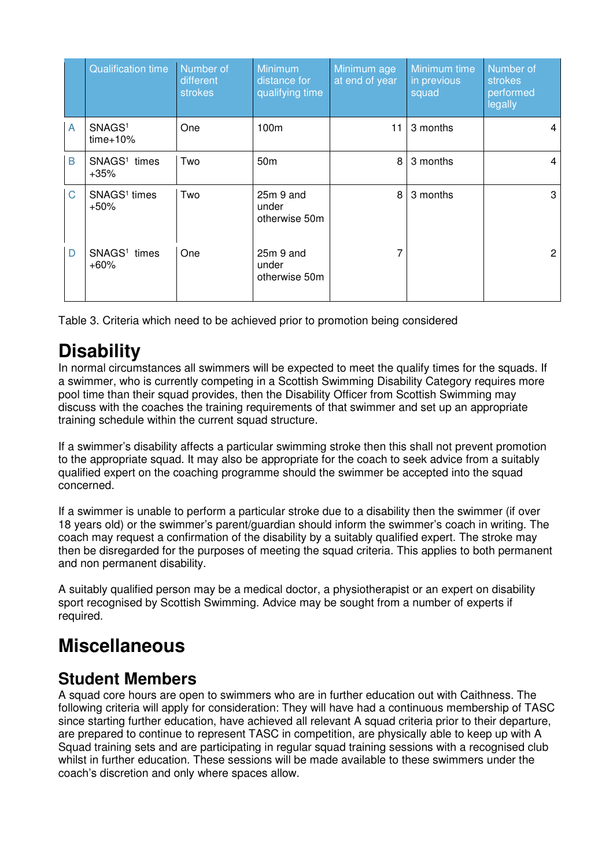|   | <b>Qualification time</b>          | Number of<br>different<br>strokes | Minimum<br>distance for<br>qualifying time | Minimum age<br>at end of year | Minimum time<br>in previous<br>squad | Number of<br>strokes<br>performed<br>legally |
|---|------------------------------------|-----------------------------------|--------------------------------------------|-------------------------------|--------------------------------------|----------------------------------------------|
| A | SNAGS <sup>1</sup><br>$time+10%$   | One                               | 100m                                       | 11                            | 3 months                             | 4                                            |
| B | SNAGS <sup>1</sup> times<br>$+35%$ | Two                               | 50 <sub>m</sub>                            | 8                             | 3 months                             | 4                                            |
| C | SNAGS <sup>1</sup> times<br>$+50%$ | Two                               | $25m$ 9 and<br>under<br>otherwise 50m      | 8                             | 3 months                             | 3                                            |
| D | SNAGS <sup>1</sup> times<br>$+60%$ | <b>One</b>                        | $25m$ 9 and<br>under<br>otherwise 50m      | 7                             |                                      | 2                                            |

Table 3. Criteria which need to be achieved prior to promotion being considered

# **Disability**

In normal circumstances all swimmers will be expected to meet the qualify times for the squads. If a swimmer, who is currently competing in a Scottish Swimming Disability Category requires more pool time than their squad provides, then the Disability Officer from Scottish Swimming may discuss with the coaches the training requirements of that swimmer and set up an appropriate training schedule within the current squad structure.

If a swimmer's disability affects a particular swimming stroke then this shall not prevent promotion to the appropriate squad. It may also be appropriate for the coach to seek advice from a suitably qualified expert on the coaching programme should the swimmer be accepted into the squad concerned.

If a swimmer is unable to perform a particular stroke due to a disability then the swimmer (if over 18 years old) or the swimmer's parent/guardian should inform the swimmer's coach in writing. The coach may request a confirmation of the disability by a suitably qualified expert. The stroke may then be disregarded for the purposes of meeting the squad criteria. This applies to both permanent and non permanent disability.

A suitably qualified person may be a medical doctor, a physiotherapist or an expert on disability sport recognised by Scottish Swimming. Advice may be sought from a number of experts if required.

# **Miscellaneous**

### **Student Members**

A squad core hours are open to swimmers who are in further education out with Caithness. The following criteria will apply for consideration: They will have had a continuous membership of TASC since starting further education, have achieved all relevant A squad criteria prior to their departure, are prepared to continue to represent TASC in competition, are physically able to keep up with A Squad training sets and are participating in regular squad training sessions with a recognised club whilst in further education. These sessions will be made available to these swimmers under the coach's discretion and only where spaces allow.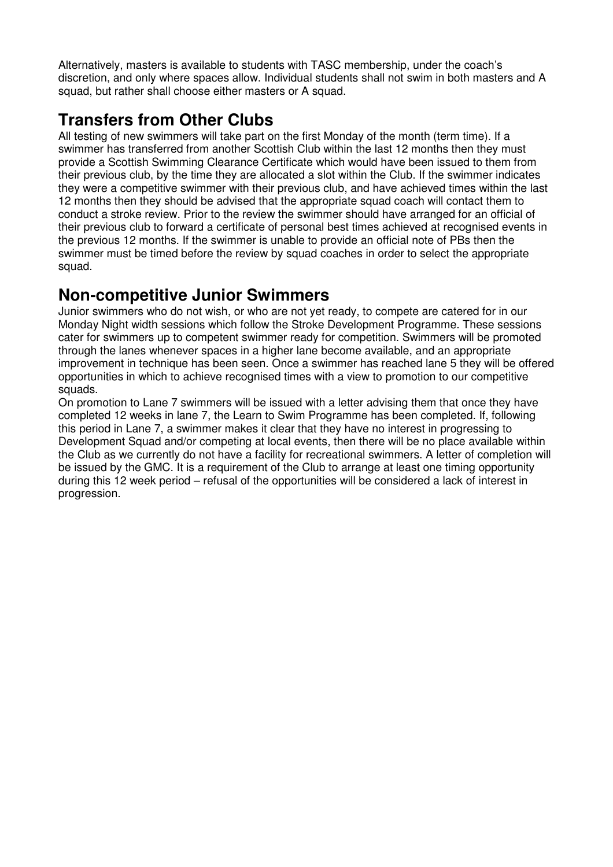Alternatively, masters is available to students with TASC membership, under the coach's discretion, and only where spaces allow. Individual students shall not swim in both masters and A squad, but rather shall choose either masters or A squad.

## **Transfers from Other Clubs**

All testing of new swimmers will take part on the first Monday of the month (term time). If a swimmer has transferred from another Scottish Club within the last 12 months then they must provide a Scottish Swimming Clearance Certificate which would have been issued to them from their previous club, by the time they are allocated a slot within the Club. If the swimmer indicates they were a competitive swimmer with their previous club, and have achieved times within the last 12 months then they should be advised that the appropriate squad coach will contact them to conduct a stroke review. Prior to the review the swimmer should have arranged for an official of their previous club to forward a certificate of personal best times achieved at recognised events in the previous 12 months. If the swimmer is unable to provide an official note of PBs then the swimmer must be timed before the review by squad coaches in order to select the appropriate squad.

#### **Non-competitive Junior Swimmers**

Junior swimmers who do not wish, or who are not yet ready, to compete are catered for in our Monday Night width sessions which follow the Stroke Development Programme. These sessions cater for swimmers up to competent swimmer ready for competition. Swimmers will be promoted through the lanes whenever spaces in a higher lane become available, and an appropriate improvement in technique has been seen. Once a swimmer has reached lane 5 they will be offered opportunities in which to achieve recognised times with a view to promotion to our competitive squads.

On promotion to Lane 7 swimmers will be issued with a letter advising them that once they have completed 12 weeks in lane 7, the Learn to Swim Programme has been completed. If, following this period in Lane 7, a swimmer makes it clear that they have no interest in progressing to Development Squad and/or competing at local events, then there will be no place available within the Club as we currently do not have a facility for recreational swimmers. A letter of completion will be issued by the GMC. It is a requirement of the Club to arrange at least one timing opportunity during this 12 week period – refusal of the opportunities will be considered a lack of interest in progression.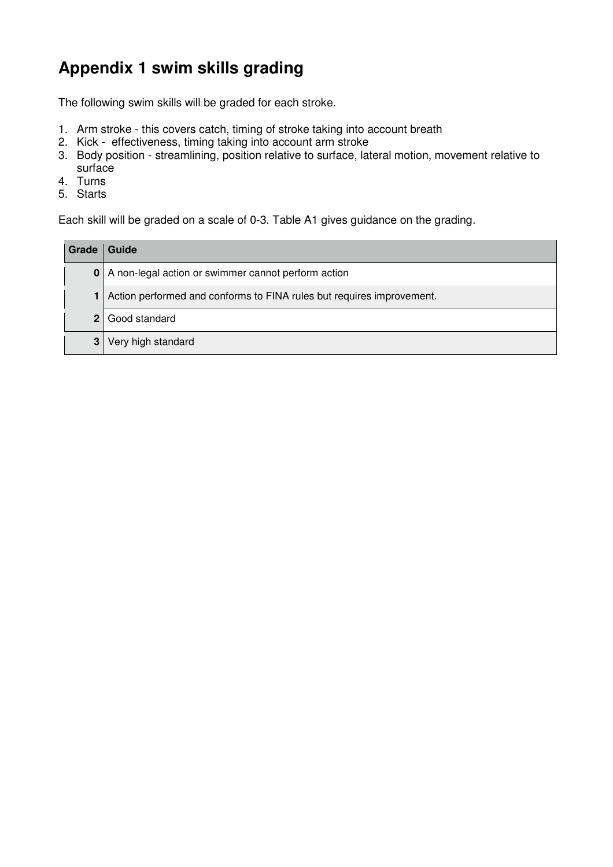## **Appendix 1 swim skills grading**

The following swim skills will be graded for each stroke.

- 1. Arm stroke this covers catch, timing of stroke taking into account breath
- 2. Kick effectiveness, timing taking into account arm stroke
- 3. Body position streamlining, position relative to surface, lateral motion, movement relative to surface
- 4. Turns
- 5. Starts

Each skill will be graded on a scale of 0-3. Table A1 gives guidance on the grading.

| Grade | Guide                                                                 |
|-------|-----------------------------------------------------------------------|
|       | 0   A non-legal action or swimmer cannot perform action               |
|       | Action performed and conforms to FINA rules but requires improvement. |
|       | 2 Good standard                                                       |
| 3     | Very high standard                                                    |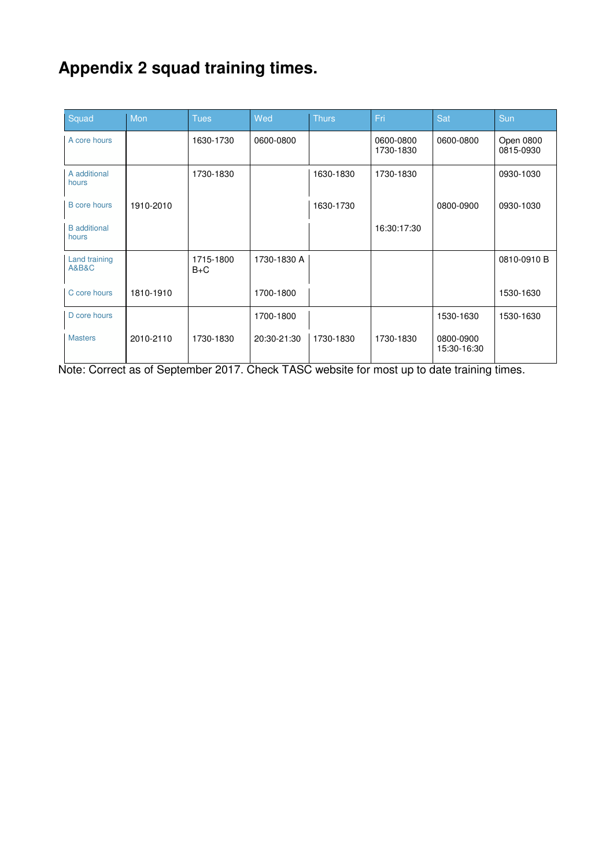# **Appendix 2 squad training times.**

| Squad                                        | Mon       | <b>Tues</b>        | Wed         | <b>Thurs</b> | Fri                    | Sat                      | Sun                    |
|----------------------------------------------|-----------|--------------------|-------------|--------------|------------------------|--------------------------|------------------------|
| A core hours                                 |           | 1630-1730          | 0600-0800   |              | 0600-0800<br>1730-1830 | 0600-0800                | Open 0800<br>0815-0930 |
| A additional<br>hours                        |           | 1730-1830          |             | 1630-1830    | 1730-1830              |                          | 0930-1030              |
| <b>B</b> core hours                          | 1910-2010 |                    |             | 1630-1730    |                        | 0800-0900                | 0930-1030              |
| <b>B</b> additional<br>hours                 |           |                    |             |              | 16:30:17:30            |                          |                        |
| <b>Land training</b><br><b>A&amp;B&amp;C</b> |           | 1715-1800<br>$B+C$ | 1730-1830 A |              |                        |                          | 0810-0910 B            |
| C core hours                                 | 1810-1910 |                    | 1700-1800   |              |                        |                          | 1530-1630              |
| D core hours                                 |           |                    | 1700-1800   |              |                        | 1530-1630                | 1530-1630              |
| <b>Masters</b>                               | 2010-2110 | 1730-1830          | 20:30-21:30 | 1730-1830    | 1730-1830              | 0800-0900<br>15:30-16:30 |                        |

Note: Correct as of September 2017. Check TASC website for most up to date training times.